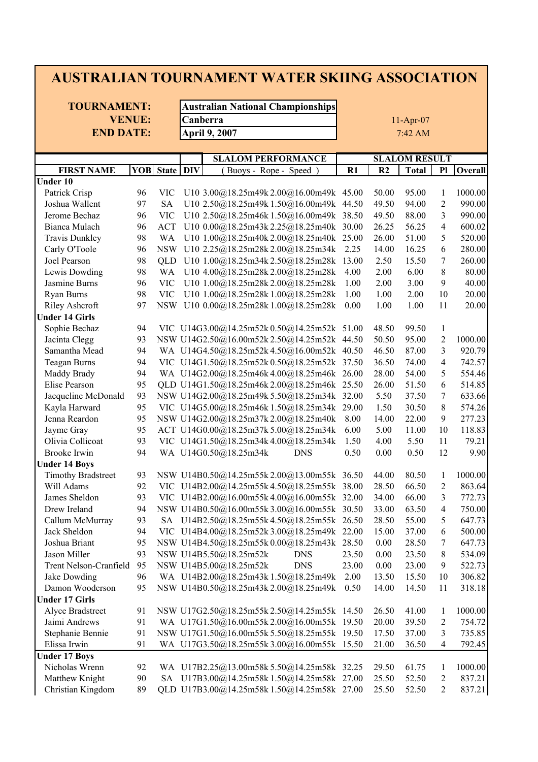## **AUSTRALIAN TOURNAMENT WATER SKIING ASSOCIATION**

**TOURNAMENT: Australian National Championships END DATE:**

**VENUE: Canberra April 9, 2007** 7:42 AM

11-Apr-07

| $DI\overline{V}$<br><b>YOB</b> State<br>R1<br><b>Total</b><br><b>FIRST NAME</b><br>(Buoys - Rope - Speed<br>R <sub>2</sub><br>P1<br><b>Under 10</b><br>Patrick Crisp<br>96<br>U10 3.00@18.25m49k 2.00@16.00m49k 45.00<br>95.00<br><b>VIC</b><br>50.00<br>1<br>97<br><b>SA</b><br>U10 2.50@18.25m49k 1.50@16.00m49k<br>49.50<br>$\overline{c}$<br>Joshua Wallent<br>94.00<br>44.50 | Overall<br>1000.00<br>990.00 |
|-----------------------------------------------------------------------------------------------------------------------------------------------------------------------------------------------------------------------------------------------------------------------------------------------------------------------------------------------------------------------------------|------------------------------|
|                                                                                                                                                                                                                                                                                                                                                                                   |                              |
|                                                                                                                                                                                                                                                                                                                                                                                   |                              |
|                                                                                                                                                                                                                                                                                                                                                                                   |                              |
|                                                                                                                                                                                                                                                                                                                                                                                   |                              |
| 3<br>990.00<br>Jerome Bechaz<br>96<br><b>VIC</b><br>U10 2.50@18.25m46k 1.50@16.00m49k 38.50<br>49.50<br>88.00                                                                                                                                                                                                                                                                     |                              |
| 4<br>Bianca Mulach<br>96<br><b>ACT</b><br>U10 0.00@18.25m43k 2.25@18.25m40k<br>30.00<br>26.25<br>56.25                                                                                                                                                                                                                                                                            | 600.02                       |
| 5<br><b>Travis Dunkley</b><br>98<br>WA<br>U10 1.00@18.25m40k 2.00@18.25m40k<br>25.00<br>26.00<br>51.00                                                                                                                                                                                                                                                                            | 520.00                       |
| Carly O'Toole<br>96<br><b>NSW</b><br>U10 2.25@18.25m28k 2.00@18.25m34k<br>2.25<br>14.00<br>16.25<br>6                                                                                                                                                                                                                                                                             | 280.00                       |
| 98<br>7<br>Joel Pearson<br>U10 1.00@18.25m34k 2.50@18.25m28k<br>13.00<br>2.50<br>15.50<br>QLD                                                                                                                                                                                                                                                                                     | 260.00                       |
| 8<br>Lewis Dowding<br>98<br>U10 4.00@18.25m28k2.00@18.25m28k<br>2.00<br>6.00<br>WA<br>4.00                                                                                                                                                                                                                                                                                        | 80.00                        |
| 2.00<br>9<br>Jasmine Burns<br>96<br><b>VIC</b><br>U10 1.00@18.25m28k 2.00@18.25m28k<br>1.00<br>3.00                                                                                                                                                                                                                                                                               | 40.00                        |
| Ryan Burns<br>98<br>U10 1.00@18.25m28k 1.00@18.25m28k<br>2.00<br><b>VIC</b><br>1.00<br>10<br>1.00                                                                                                                                                                                                                                                                                 | 20.00                        |
| 97<br>1.00<br>1.00<br><b>Riley Ashcroft</b><br><b>NSW</b><br>U10 0.00@18.25m28k 1.00@18.25m28k<br>0.00<br>11                                                                                                                                                                                                                                                                      | 20.00                        |
| <b>Under 14 Girls</b>                                                                                                                                                                                                                                                                                                                                                             |                              |
| 94<br>Sophie Bechaz<br>VIC U14G3.00@14.25m52k0.50@14.25m52k 51.00<br>48.50<br>99.50<br>$\mathbf{1}$                                                                                                                                                                                                                                                                               |                              |
| 93<br>NSW U14G2.50@16.00m52k2.50@14.25m52k 44.50<br>Jacinta Clegg<br>50.50<br>95.00<br>$\overline{c}$                                                                                                                                                                                                                                                                             | 1000.00                      |
| Samantha Mead<br>94<br>WA U14G4.50@18.25m52k4.50@16.00m52k 40.50<br>46.50<br>3<br>87.00                                                                                                                                                                                                                                                                                           | 920.79                       |
| 94<br>VIC U14G1.50@18.25m52k0.50@18.25m52k 37.50<br>4<br><b>Teagan Burns</b><br>36.50<br>74.00                                                                                                                                                                                                                                                                                    | 742.57                       |
| 94<br>Maddy Brady<br>WA U14G2.00@18.25m46k4.00@18.25m46k<br>28.00<br>54.00<br>5<br>26.00                                                                                                                                                                                                                                                                                          | 554.46                       |
| 95<br>Elise Pearson<br>QLD U14G1.50@18.25m46k2.00@18.25m46k<br>25.50<br>26.00<br>51.50<br>6                                                                                                                                                                                                                                                                                       | 514.85                       |
| 93<br>Jacqueline McDonald<br>NSW U14G2.00@18.25m49k 5.50@18.25m34k<br>32.00<br>5.50<br>37.50<br>7                                                                                                                                                                                                                                                                                 | 633.66                       |
| 95<br>30.50<br>Kayla Harward<br>VIC U14G5.00@18.25m46k 1.50@18.25m34k<br>1.50<br>8<br>29.00                                                                                                                                                                                                                                                                                       | 574.26                       |
| Jenna Reardon<br>95<br>NSW U14G2.00@18.25m37k2.00@18.25m40k<br>8.00<br>14.00<br>22.00<br>9                                                                                                                                                                                                                                                                                        | 277.23                       |
| Jayme Gray<br>95<br>ACT U14G0.00@18.25m37k 5.00@18.25m34k<br>6.00<br>5.00<br>11.00<br>10                                                                                                                                                                                                                                                                                          | 118.83                       |
| Olivia Collicoat<br>93<br>VIC U14G1.50@18.25m34k4.00@18.25m34k<br>4.00<br>5.50<br>11<br>1.50                                                                                                                                                                                                                                                                                      | 79.21                        |
| 94<br>0.50<br>12<br>Brooke Irwin<br>WA U14G0.50@18.25m34k<br><b>DNS</b><br>0.50<br>0.00                                                                                                                                                                                                                                                                                           | 9.90                         |
| <b>Under 14 Boys</b>                                                                                                                                                                                                                                                                                                                                                              |                              |
| <b>Timothy Bradstreet</b><br>93<br>NSW U14B0.50@14.25m55k2.00@13.00m55k 36.50<br>44.00<br>80.50<br>1                                                                                                                                                                                                                                                                              | 1000.00                      |
| 92<br>Will Adams<br>VIC U14B2.00@14.25m55k4.50@18.25m55k 38.00<br>28.50<br>66.50<br>$\overline{c}$                                                                                                                                                                                                                                                                                | 863.64                       |
| 93<br>3<br>James Sheldon<br>VIC U14B2.00@16.00m55k4.00@16.00m55k 32.00<br>34.00<br>66.00                                                                                                                                                                                                                                                                                          | 772.73                       |
| 94<br>NSW U14B0.50@16.00m55k3.00@16.00m55k 30.50<br>4<br>Drew Ireland<br>33.00<br>63.50                                                                                                                                                                                                                                                                                           | 750.00                       |
| 93<br>5<br>Callum McMurray<br>SA U14B2.50@18.25m55k4.50@18.25m55k 26.50<br>28.50<br>55.00                                                                                                                                                                                                                                                                                         | 647.73                       |
| 94<br>Jack Sheldon<br>VIC U14B4.00@18.25m52k3.00@18.25m49k 22.00<br>15.00<br>37.00<br>6                                                                                                                                                                                                                                                                                           | 500.00                       |
| $\overline{7}$<br>95<br>Joshua Briant<br>NSW U14B4.50@18.25m55k0.00@18.25m43k 28.50<br>0.00<br>28.50                                                                                                                                                                                                                                                                              | 647.73                       |
| 93<br>NSW U14B5.50@18.25m52k DNS<br>23.50<br>Jason Miller<br>23.50<br>0.00<br>8                                                                                                                                                                                                                                                                                                   | 534.09                       |
| NSW U14B5.00@18.25m52k<br>Trent Nelson-Cranfield<br><b>DNS</b><br>23.00<br>0.00<br>23.00<br>95<br>9                                                                                                                                                                                                                                                                               | 522.73                       |
| Jake Dowding<br>WA U14B2.00@18.25m43k1.50@18.25m49k<br>96<br>2.00<br>13.50<br>15.50<br>10                                                                                                                                                                                                                                                                                         | 306.82                       |
| Damon Wooderson<br>95<br>NSW U14B0.50@18.25m43k2.00@18.25m49k<br>0.50<br>14.00<br>14.50<br>11                                                                                                                                                                                                                                                                                     | 318.18                       |
| <b>Under 17 Girls</b>                                                                                                                                                                                                                                                                                                                                                             |                              |
| NSW U17G2.50@18.25m55k2.50@14.25m55k 14.50<br>Alyce Bradstreet<br>91<br>26.50<br>41.00<br>1                                                                                                                                                                                                                                                                                       | 1000.00                      |
| 91<br>WA U17G1.50@16.00m55k2.00@16.00m55k 19.50<br>20.00<br>39.50<br>Jaimi Andrews<br>2                                                                                                                                                                                                                                                                                           | 754.72                       |
| NSW U17G1.50@16.00m55k 5.50@18.25m55k 19.50<br>Stephanie Bennie<br>91<br>17.50<br>37.00<br>3                                                                                                                                                                                                                                                                                      | 735.85                       |
| Elissa Irwin<br>WA U17G3.50@18.25m55k3.00@16.00m55k 15.50<br>36.50<br>91<br>21.00<br>4                                                                                                                                                                                                                                                                                            | 792.45                       |
| <b>Under 17 Boys</b>                                                                                                                                                                                                                                                                                                                                                              |                              |
| Nicholas Wrenn<br>WA U17B2.25@13.00m58k 5.50@14.25m58k 32.25<br>92<br>29.50<br>61.75<br>$\mathbf{1}$                                                                                                                                                                                                                                                                              | 1000.00                      |
| SA U17B3.00@14.25m58k 1.50@14.25m58k 27.00<br>Matthew Knight<br>90<br>25.50<br>52.50<br>2                                                                                                                                                                                                                                                                                         | 837.21                       |
| Christian Kingdom<br>89<br>QLD U17B3.00@14.25m58k 1.50@14.25m58k 27.00<br>25.50<br>52.50<br>2                                                                                                                                                                                                                                                                                     | 837.21                       |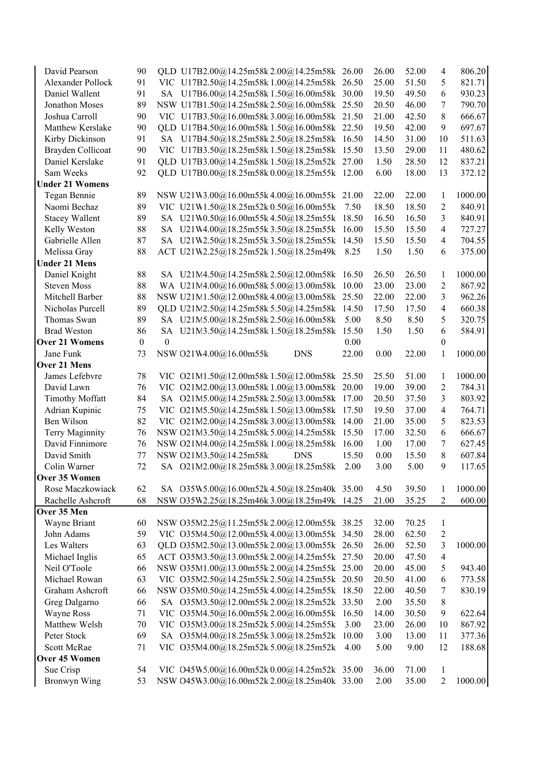| David Pearson          | 90               |                  | QLD U17B2.00@14.25m58k2.00@14.25m58k 26.00  |  |            |       | 26.00 | 52.00 | $\overline{4}$           | 806.20  |
|------------------------|------------------|------------------|---------------------------------------------|--|------------|-------|-------|-------|--------------------------|---------|
| Alexander Pollock      | 91               |                  | VIC U17B2.50@14.25m58k1.00@14.25m58k 26.50  |  |            |       | 25.00 | 51.50 | 5                        | 821.71  |
| Daniel Wallent         | 91               |                  | SA U17B6.00@14.25m58k 1.50@16.00m58k 30.00  |  |            |       | 19.50 | 49.50 | 6                        | 930.23  |
| Jonathon Moses         | 89               |                  | NSW U17B1.50@14.25m58k2.50@16.00m58k 25.50  |  |            |       | 20.50 | 46.00 | 7                        | 790.70  |
| Joshua Carroll         | 90               |                  | VIC U17B3.50@16.00m58k3.00@16.00m58k 21.50  |  |            |       | 21.00 | 42.50 | 8                        | 666.67  |
| Matthew Kerslake       | 90               |                  | QLD U17B4.50@16.00m58k 1.50@16.00m58k 22.50 |  |            |       | 19.50 | 42.00 | 9                        | 697.67  |
| Kirby Dickinson        | 91               |                  | SA U17B4.50@18.25m58k2.50@18.25m58k 16.50   |  |            |       | 14.50 | 31.00 | 10                       | 511.63  |
| Brayden Collicoat      | 90               |                  | VIC U17B3.50@18.25m58k1.50@18.25m58k 15.50  |  |            |       | 13.50 | 29.00 | 11                       | 480.62  |
| Daniel Kerslake        | 91               |                  | QLD U17B3.00@14.25m58k 1.50@18.25m52k 27.00 |  |            |       | 1.50  | 28.50 | 12                       | 837.21  |
| Sam Weeks              | 92               |                  | QLD U17B0.00@18.25m58k0.00@18.25m55k 12.00  |  |            |       | 6.00  | 18.00 | 13                       | 372.12  |
| <b>Under 21 Womens</b> |                  |                  |                                             |  |            |       |       |       |                          |         |
| Tegan Bennie           | 89               |                  | NSW U21W3.00@16.00m55k4.00@16.00m55k 21.00  |  |            |       | 22.00 | 22.00 | $\mathbf{1}$             | 1000.00 |
| Naomi Bechaz           | 89               |                  | VIC U21W1.50@18.25m52k0.50@16.00m55k        |  |            | 7.50  | 18.50 | 18.50 | $\overline{c}$           | 840.91  |
| <b>Stacey Wallent</b>  | 89               |                  | SA U21W0.50@16.00m55k4.50@18.25m55k         |  |            | 18.50 | 16.50 | 16.50 | 3                        | 840.91  |
| Kelly Weston           | 88               |                  | SA U21W4.00@18.25m55k3.50@18.25m55k         |  |            | 16.00 | 15.50 | 15.50 | $\overline{4}$           | 727.27  |
| Gabrielle Allen        | 87               |                  | SA U21W2.50@18.25m55k3.50@18.25m55k         |  |            | 14.50 | 15.50 | 15.50 | $\overline{4}$           | 704.55  |
| Melissa Gray           | 88               |                  | ACT U21W2.25@18.25m52k1.50@18.25m49k        |  |            | 8.25  | 1.50  | 1.50  | 6                        | 375.00  |
| <b>Under 21 Mens</b>   |                  |                  |                                             |  |            |       |       |       |                          |         |
| Daniel Knight          | 88               |                  | SA U21M4.50@14.25m58k2.50@12.00m58k 16.50   |  |            |       | 26.50 | 26.50 | 1                        | 1000.00 |
| <b>Steven Moss</b>     | 88               |                  | WA U21M4.00@16.00m58k5.00@13.00m58k         |  |            | 10.00 | 23.00 | 23.00 | $\overline{c}$           | 867.92  |
| Mitchell Barber        | 88               |                  | NSW U21M1.50@12.00m58k4.00@13.00m58k 25.50  |  |            |       | 22.00 | 22.00 | $\mathfrak{Z}$           | 962.26  |
| Nicholas Purcell       | 89               |                  | QLD U21M2.50@14.25m58k 5.50@14.25m58k       |  |            | 14.50 | 17.50 | 17.50 | $\overline{4}$           | 660.38  |
| Thomas Swan            | 89               |                  | SA U21M5.00@18.25m58k2.50@16.00m58k         |  |            | 5.00  | 8.50  | 8.50  | 5                        | 320.75  |
| <b>Brad Weston</b>     | 86               |                  | SA U21M3.50@14.25m58k1.50@18.25m58k         |  |            | 15.50 | 1.50  | 1.50  | 6                        | 584.91  |
| <b>Over 21 Womens</b>  | $\boldsymbol{0}$ | $\boldsymbol{0}$ |                                             |  |            | 0.00  |       |       | $\theta$                 |         |
| Jane Funk              | 73               |                  | NSW O21W4.00@16.00m55k                      |  | <b>DNS</b> | 22.00 | 0.00  | 22.00 | 1                        | 1000.00 |
| Over 21 Mens           |                  |                  |                                             |  |            |       |       |       |                          |         |
|                        |                  |                  | VIC 021M1.50@12.00m58k 1.50@12.00m58k 25.50 |  |            |       |       |       |                          | 1000.00 |
| James Lefebvre         | 78<br>76         |                  |                                             |  |            |       | 25.50 | 51.00 | 1<br>$\overline{2}$      | 784.31  |
| David Lawn             | 84               |                  | VIC 021M2.00@13.00m58k1.00@13.00m58k 20.00  |  |            |       | 19.00 | 39.00 |                          | 803.92  |
| <b>Timothy Moffatt</b> |                  |                  | SA 021M5.00@14.25m58k2.50@13.00m58k 17.00   |  |            |       | 20.50 | 37.50 | 3                        |         |
| Adrian Kupinic         | 75               |                  | VIC 021M5.50@14.25m58k 1.50@13.00m58k 17.50 |  |            |       | 19.50 | 37.00 | 4                        | 764.71  |
| Ben Wilson             | 82               |                  | VIC 021M2.00@14.25m58k3.00@13.00m58k        |  |            | 14.00 | 21.00 | 35.00 | 5                        | 823.53  |
| Terry Maginnity        | 76               |                  | NSW 021M3.50@14.25m58k 5.00@14.25m58k       |  |            | 15.50 | 17.00 | 32.50 | 6                        | 666.67  |
| David Finnimore        | 76               |                  | NSW O21M4.00@14.25m58k 1.00@18.25m58k       |  |            | 16.00 | 1.00  | 17.00 | 7                        | 627.45  |
| David Smith            | 77               |                  | NSW O21M3.50@14.25m58k                      |  | <b>DNS</b> | 15.50 | 0.00  | 15.50 | 8                        | 607.84  |
| Colin Warner           | 72               |                  | SA 021M2.00@18.25m58k3.00@18.25m58k         |  |            | 2.00  | 3.00  | 5.00  | 9                        | 117.65  |
| Over 35 Women          |                  |                  |                                             |  |            |       |       |       |                          |         |
| Rose Maczkowiack       | 62               |                  | SA 035W5.00@16.00m52k4.50@18.25m40k 35.00   |  |            |       | 4.50  | 39.50 | $\mathbf{1}$             | 1000.00 |
| Rachelle Ashcroft      | 68               |                  | NSW 035W2.25@18.25m46k3.00@18.25m49k 14.25  |  |            |       | 21.00 | 35.25 | 2                        | 600.00  |
| Over 35 Men            |                  |                  |                                             |  |            |       |       |       |                          |         |
| Wayne Briant           | 60               |                  | NSW 035M2.25@11.25m55k 2.00@12.00m55k 38.25 |  |            |       | 32.00 | 70.25 | 1                        |         |
| John Adams             | 59               |                  | VIC 035M4.50@12.00m55k4.00@13.00m55k 34.50  |  |            |       | 28.00 | 62.50 | $\sqrt{2}$               |         |
| Les Walters            | 63               |                  | QLD 035M2.50@13.00m55k2.00@13.00m55k 26.50  |  |            |       | 26.00 | 52.50 | $\mathfrak{Z}$           | 1000.00 |
| Michael Inglis         | 65               |                  | ACT 035M3.50@13.00m55k2.00@14.25m55k 27.50  |  |            |       | 20.00 | 47.50 | $\overline{\mathcal{A}}$ |         |
| Neil O'Toole           | 66               |                  | NSW 035M1.00@13.00m55k2.00@14.25m55k 25.00  |  |            |       | 20.00 | 45.00 | 5                        | 943.40  |
| Michael Rowan          | 63               |                  | VIC 035M2.50@14.25m55k2.50@14.25m55k20.50   |  |            |       | 20.50 | 41.00 | 6                        | 773.58  |
| Graham Ashcroft        | 66               |                  | NSW 035M0.50@14.25m55k 4.00@14.25m55k       |  |            | 18.50 | 22.00 | 40.50 | 7                        | 830.19  |
| Greg Dalgarno          | 66               |                  | SA 035M3.50@12.00m55k2.00@18.25m52k 33.50   |  |            |       | 2.00  | 35.50 | $8\,$                    |         |
| Wayne Ross             | 71               |                  | VIC 035M4.50@16.00m55k2.00@16.00m55k        |  |            | 16.50 | 14.00 | 30.50 | 9                        | 622.64  |
| Matthew Welsh          | 70               |                  | VIC 035M3.00@18.25m52k 5.00@14.25m55k       |  |            | 3.00  | 23.00 | 26.00 | 10                       | 867.92  |
| Peter Stock            | 69               |                  | SA 035M4.00@18.25m55k3.00@18.25m52k         |  |            | 10.00 | 3.00  | 13.00 | 11                       | 377.36  |
| Scott McRae            | 71               |                  | VIC 035M4.00@18.25m52k 5.00@18.25m52k       |  |            | 4.00  | 5.00  | 9.00  | 12                       | 188.68  |
| Over 45 Women          |                  |                  |                                             |  |            |       |       |       |                          |         |
| Sue Crisp              | 54               |                  | VIC 045W5.00@16.00m52k0.00@14.25m52k 35.00  |  |            |       | 36.00 | 71.00 | $\mathbf{1}$             |         |
| Bronwyn Wing           | 53               |                  | NSW 045W3.00@16.00m52k2.00@18.25m40k 33.00  |  |            |       | 2.00  | 35.00 | 2                        | 1000.00 |
|                        |                  |                  |                                             |  |            |       |       |       |                          |         |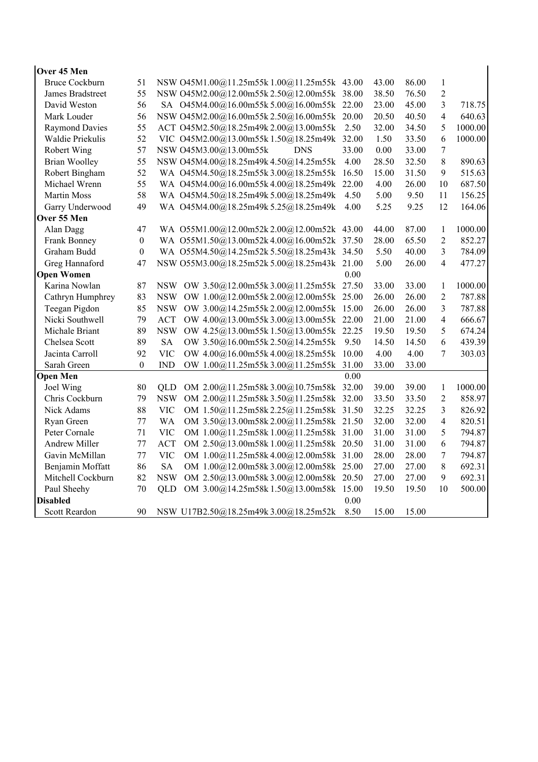| Over 45 Men<br><b>Bruce Cockburn</b> | 51                     | NSW 045M1.00@11.25m55k 1.00@11.25m55k 43.00          |            |       | 43.00          | 86.00          | $\mathbf{1}$                   |                   |
|--------------------------------------|------------------------|------------------------------------------------------|------------|-------|----------------|----------------|--------------------------------|-------------------|
| James Bradstreet                     | 55                     |                                                      |            |       | 38.50          | 76.50          | $\overline{2}$                 |                   |
| David Weston                         | 56                     | NSW 045M2.00@12.00m55k 2.50@12.00m55k 38.00          |            |       | 23.00          | 45.00          | 3                              | 718.75            |
|                                      | 56                     | SA 045M4.00@16.00m55k 5.00@16.00m55k 22.00           |            |       |                | 40.50          |                                | 640.63            |
| Mark Louder                          |                        | NSW 045M2.00@16.00m55k 2.50@16.00m55k                |            | 20.00 | 20.50          |                | $\overline{4}$                 | 1000.00           |
| <b>Raymond Davies</b>                | 55                     | ACT 045M2.50@18.25m49k2.00@13.00m55k                 |            | 2.50  | 32.00          | 34.50          | 5                              |                   |
| Waldie Priekulis                     | 52                     | VIC 045M2.00@13.00m55k1.50@18.25m49k 32.00           |            |       | 1.50           | 33.50<br>33.00 | 6                              | 1000.00           |
| Robert Wing                          | 57                     | NSW 045M3.00@13.00m55k                               | <b>DNS</b> | 33.00 | 0.00           |                | $\boldsymbol{7}$               |                   |
| <b>Brian Woolley</b>                 | 55                     | NSW 045M4.00@18.25m49k 4.50@14.25m55k                |            | 4.00  | 28.50          | 32.50          | $8\,$                          | 890.63            |
| Robert Bingham                       | 52                     | WA 045M4.50@18.25m55k3.00@18.25m55k                  |            | 16.50 | 15.00          | 31.50          | 9                              | 515.63            |
| Michael Wrenn                        | 55                     | WA 045M4.00@16.00m55k4.00@18.25m49k                  |            | 22.00 | 4.00           | 26.00          | 10                             | 687.50            |
| <b>Martin Moss</b>                   | 58                     | WA 045M4.50@18.25m49k 5.00@18.25m49k                 |            | 4.50  | 5.00           | 9.50           | 11                             | 156.25            |
| Garry Underwood                      | 49                     | WA 045M4.00@18.25m49k 5.25@18.25m49k                 |            | 4.00  | 5.25           | 9.25           | 12                             | 164.06            |
| Over 55 Men                          |                        |                                                      |            |       |                |                |                                |                   |
| Alan Dagg                            | 47<br>$\boldsymbol{0}$ | WA 055M1.00@12.00m52k 2.00@12.00m52k 43.00           |            |       | 44.00<br>28.00 | 87.00<br>65.50 | $\mathbf{1}$<br>$\overline{2}$ | 1000.00<br>852.27 |
| Frank Bonney                         |                        | WA 055M1.50@13.00m52k4.00@16.00m52k 37.50            |            |       |                |                |                                |                   |
| Graham Budd                          | $\boldsymbol{0}$       | WA 055M4.50@14.25m52k 5.50@18.25m43k 34.50           |            |       | 5.50           | 40.00          | 3                              | 784.09            |
| Greg Hannaford                       | 47                     | NSW 055M3.00@18.25m52k 5.00@18.25m43k 21.00          |            |       | 5.00           | 26.00          | $\overline{4}$                 | 477.27            |
| <b>Open Women</b>                    |                        |                                                      |            | 0.00  |                |                |                                |                   |
| Karina Nowlan                        | 87                     | NSW OW 3.50@12.00m55k3.00@11.25m55k 27.50            |            |       | 33.00          | 33.00          | $\mathbf{1}$                   | 1000.00           |
| Cathryn Humphrey                     | 83                     | NSW OW 1.00@12.00m55k2.00@12.00m55k 25.00            |            |       | 26.00          | 26.00          | $\overline{2}$                 | 787.88            |
| Teegan Pigdon                        | 85                     | <b>NSW</b><br>OW 3.00@14.25m55k2.00@12.00m55k 15.00  |            |       | 26.00          | 26.00          | 3                              | 787.88            |
| Nicki Southwell                      | 79                     | <b>ACT</b><br>OW 4.00@13.00m55k3.00@13.00m55k 22.00  |            |       | 21.00          | 21.00          | $\overline{4}$                 | 666.67            |
| Michale Briant                       | 89                     | <b>NSW</b><br>OW 4.25@13.00m55k 1.50@13.00m55k 22.25 |            |       | 19.50          | 19.50          | 5                              | 674.24            |
| Chelsea Scott                        | 89                     | <b>SA</b><br>OW 3.50@16.00m55k2.50@14.25m55k         |            | 9.50  | 14.50          | 14.50          | 6                              | 439.39            |
| Jacinta Carroll                      | 92                     | <b>VIC</b><br>OW 4.00@16.00m55k 4.00@18.25m55k       |            | 10.00 | 4.00           | 4.00           | $\overline{7}$                 | 303.03            |
| Sarah Green                          | $\theta$               | <b>IND</b><br>OW 1.00@11.25m55k3.00@11.25m55k        |            | 31.00 | 33.00          | 33.00          |                                |                   |
| <b>Open Men</b>                      |                        |                                                      |            | 0.00  |                |                |                                |                   |
| Joel Wing                            | 80                     | OM 2.00@11.25m58k3.00@10.75m58k 32.00<br>OLD.        |            |       | 39.00          | 39.00          | 1                              | 1000.00           |
| Chris Cockburn                       | 79                     | <b>NSW</b><br>OM 2.00@11.25m58k3.50@11.25m58k32.00   |            |       | 33.50          | 33.50          | $\overline{2}$                 | 858.97            |
| Nick Adams                           | 88                     | <b>VIC</b><br>OM 1.50@11.25m58k2.25@11.25m58k 31.50  |            |       | 32.25          | 32.25          | 3                              | 826.92            |
| Ryan Green                           | 77                     | <b>WA</b><br>OM 3.50@13.00m58k2.00@11.25m58k 21.50   |            |       | 32.00          | 32.00          | $\overline{4}$                 | 820.51            |
| Peter Cornale                        | 71                     | <b>VIC</b><br>OM 1.00@11.25m58k 1.00@11.25m58k 31.00 |            |       | 31.00          | 31.00          | 5                              | 794.87            |
| <b>Andrew Miller</b>                 | 77                     | <b>ACT</b><br>OM 2.50@13.00m58k1.00@11.25m58k 20.50  |            |       | 31.00          | 31.00          | 6                              | 794.87            |
| Gavin McMillan                       | 77                     | <b>VIC</b><br>OM 1.00@11.25m58k4.00@12.00m58k 31.00  |            |       | 28.00          | 28.00          | $\tau$                         | 794.87            |
| Benjamin Moffatt                     | 86                     | <b>SA</b><br>OM 1.00@12.00m58k3.00@12.00m58k 25.00   |            |       | 27.00          | 27.00          | $8\,$                          | 692.31            |
| Mitchell Cockburn                    | 82                     | <b>NSW</b><br>OM 2.50@13.00m58k3.00@12.00m58k 20.50  |            |       | 27.00          | 27.00          | 9                              | 692.31            |
| Paul Sheehy                          | 70                     | <b>QLD</b><br>OM 3.00@14.25m58k 1.50@13.00m58k 15.00 |            |       | 19.50          | 19.50          | 10                             | 500.00            |
| <b>Disabled</b>                      |                        |                                                      |            | 0.00  |                |                |                                |                   |
| <b>Scott Reardon</b>                 | 90                     | NSW U17B2.50@18.25m49k3.00@18.25m52k                 |            | 8.50  | 15.00          | 15.00          |                                |                   |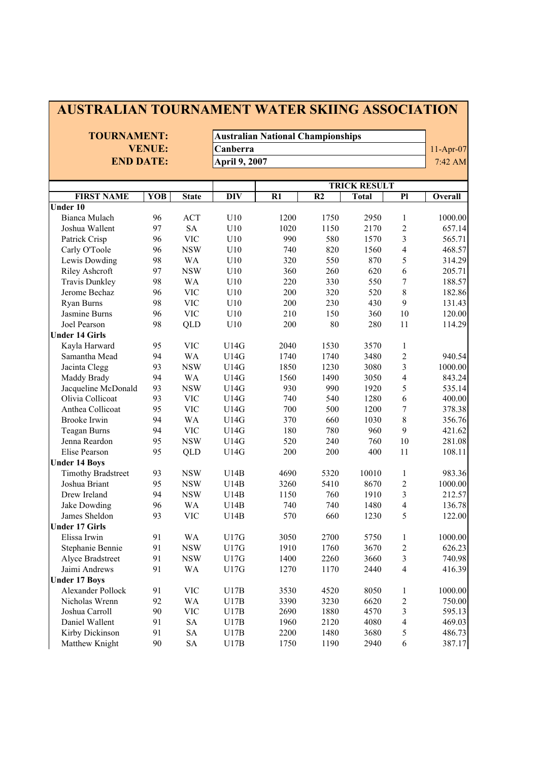## **AUSTRALIAN TOURNAMENT WATER SKIING ASSOCIATION**

**TOURNAMENT: Australian National Championships VENUE:** Canberra 11-Apr-07 **END DATE: April 9, 2007 And The Set of American Set of April 9, 2007 AM** 

|                           |     |              |                  | <b>TRICK RESULT</b> |                 |              |                         |         |  |
|---------------------------|-----|--------------|------------------|---------------------|-----------------|--------------|-------------------------|---------|--|
| <b>FIRST NAME</b>         | YOB | <b>State</b> | $\overline{DIV}$ | R1                  | $\overline{R2}$ | <b>Total</b> | $\overline{PI}$         | Overall |  |
| <b>Under 10</b>           |     |              |                  |                     |                 |              |                         |         |  |
| <b>Bianca Mulach</b>      | 96  | <b>ACT</b>   | U10              | 1200                | 1750            | 2950         | $\mathbf{1}$            | 1000.00 |  |
| Joshua Wallent            | 97  | <b>SA</b>    | U10              | 1020                | 1150            | 2170         | $\overline{2}$          | 657.14  |  |
| Patrick Crisp             | 96  | <b>VIC</b>   | U10              | 990                 | 580             | 1570         | $\overline{\mathbf{3}}$ | 565.71  |  |
| Carly O'Toole             | 96  | <b>NSW</b>   | U10              | 740                 | 820             | 1560         | $\overline{\mathbf{4}}$ | 468.57  |  |
| Lewis Dowding             | 98  | <b>WA</b>    | U10              | 320                 | 550             | 870          | 5                       | 314.29  |  |
| Riley Ashcroft            | 97  | <b>NSW</b>   | U10              | 360                 | 260             | 620          | 6                       | 205.71  |  |
| <b>Travis Dunkley</b>     | 98  | <b>WA</b>    | U10              | 220                 | 330             | 550          | $\overline{7}$          | 188.57  |  |
| Jerome Bechaz             | 96  | <b>VIC</b>   | U10              | 200                 | 320             | 520          | 8                       | 182.86  |  |
| Ryan Burns                | 98  | <b>VIC</b>   | U10              | 200                 | 230             | 430          | 9                       | 131.43  |  |
| Jasmine Burns             | 96  | <b>VIC</b>   | U10              | 210                 | 150             | 360          | 10                      | 120.00  |  |
| Joel Pearson              | 98  | QLD          | U10              | 200                 | 80              | 280          | 11                      | 114.29  |  |
| <b>Under 14 Girls</b>     |     |              |                  |                     |                 |              |                         |         |  |
| Kayla Harward             | 95  | <b>VIC</b>   | U14G             | 2040                | 1530            | 3570         | $\mathbf{1}$            |         |  |
| Samantha Mead             | 94  | <b>WA</b>    | U14G             | 1740                | 1740            | 3480         | $\overline{c}$          | 940.54  |  |
| Jacinta Clegg             | 93  | <b>NSW</b>   | U14G             | 1850                | 1230            | 3080         | $\overline{\mathbf{3}}$ | 1000.00 |  |
| Maddy Brady               | 94  | <b>WA</b>    | U14G             | 1560                | 1490            | 3050         | $\overline{4}$          | 843.24  |  |
| Jacqueline McDonald       | 93  | <b>NSW</b>   | U14G             | 930                 | 990             | 1920         | 5                       | 535.14  |  |
| Olivia Collicoat          | 93  | <b>VIC</b>   | U14G             | 740                 | 540             | 1280         | 6                       | 400.00  |  |
| Anthea Collicoat          | 95  | <b>VIC</b>   | U14G             | 700                 | 500             | 1200         | $\overline{7}$          | 378.38  |  |
| Brooke Irwin              | 94  | WA           | U14G             | 370                 | 660             | 1030         | 8                       | 356.76  |  |
| Teagan Burns              | 94  | <b>VIC</b>   | U14G             | 180                 | 780             | 960          | 9                       | 421.62  |  |
| Jenna Reardon             | 95  | <b>NSW</b>   | U14G             | 520                 | 240             | 760          | 10                      | 281.08  |  |
| Elise Pearson             | 95  | <b>QLD</b>   | U14G             | 200                 | 200             | 400          | 11                      | 108.11  |  |
| <b>Under 14 Boys</b>      |     |              |                  |                     |                 |              |                         |         |  |
| <b>Timothy Bradstreet</b> | 93  | <b>NSW</b>   | U14B             | 4690                | 5320            | 10010        | $\mathbf{1}$            | 983.36  |  |
| Joshua Briant             | 95  | <b>NSW</b>   | U14B             | 3260                | 5410            | 8670         | $\overline{c}$          | 1000.00 |  |
| Drew Ireland              | 94  | <b>NSW</b>   | U14B             | 1150                | 760             | 1910         | $\overline{\mathbf{3}}$ | 212.57  |  |
| Jake Dowding              | 96  | <b>WA</b>    | U14B             | 740                 | 740             | 1480         | $\overline{4}$          | 136.78  |  |
| James Sheldon             | 93  | <b>VIC</b>   | U14B             | 570                 | 660             | 1230         | 5                       | 122.00  |  |
| <b>Under 17 Girls</b>     |     |              |                  |                     |                 |              |                         |         |  |
| Elissa Irwin              | 91  | <b>WA</b>    | U17G             | 3050                | 2700            | 5750         | $\mathbf{1}$            | 1000.00 |  |
| Stephanie Bennie          | 91  | <b>NSW</b>   | U17G             | 1910                | 1760            | 3670         | $\overline{2}$          | 626.23  |  |
| Alyce Bradstreet          | 91  | <b>NSW</b>   | U17G             | 1400                | 2260            | 3660         | $\overline{\mathbf{3}}$ | 740.98  |  |
| Jaimi Andrews             | 91  | <b>WA</b>    | U17G             | 1270                | 1170            | 2440         | $\overline{4}$          | 416.39  |  |
| <b>Under 17 Boys</b>      |     |              |                  |                     |                 |              |                         |         |  |
| Alexander Pollock         | 91  | <b>VIC</b>   | U17B             | 3530                | 4520            | 8050         | $\mathbf{1}$            | 1000.00 |  |
| Nicholas Wrenn            | 92  | <b>WA</b>    | U17B             | 3390                | 3230            | 6620         | $\overline{2}$          | 750.00  |  |
| Joshua Carroll            | 90  | <b>VIC</b>   | U17B             | 2690                | 1880            | 4570         | $\overline{\mathbf{3}}$ | 595.13  |  |
| Daniel Wallent            | 91  | <b>SA</b>    | U17B             | 1960                | 2120            | 4080         | $\overline{\mathbf{4}}$ | 469.03  |  |
| Kirby Dickinson           | 91  | <b>SA</b>    | U17B             | 2200                | 1480            | 3680         | 5                       | 486.73  |  |
| Matthew Knight            | 90  | <b>SA</b>    | U17B             | 1750                | 1190            | 2940         | 6                       | 387.17  |  |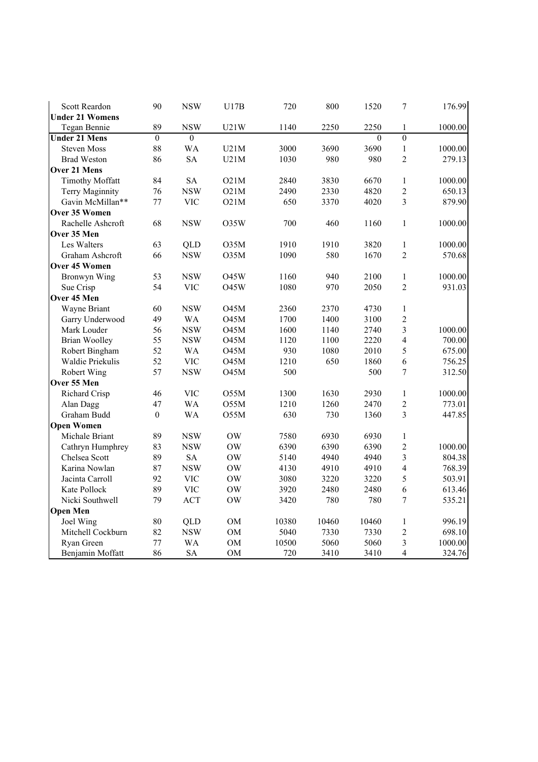| <b>Scott Reardon</b>   | 90               | <b>NSW</b> | U17B              | 720   | 800   | 1520     | $\overline{7}$          | 176.99  |
|------------------------|------------------|------------|-------------------|-------|-------|----------|-------------------------|---------|
| <b>Under 21 Womens</b> |                  |            |                   |       |       |          |                         |         |
| Tegan Bennie           | 89               | <b>NSW</b> | U21W              | 1140  | 2250  | 2250     | 1                       | 1000.00 |
| <b>Under 21 Mens</b>   | $\boldsymbol{0}$ | $\theta$   |                   |       |       | $\theta$ | $\overline{0}$          |         |
| <b>Steven Moss</b>     | 88               | <b>WA</b>  | U21M              | 3000  | 3690  | 3690     | $\,1$                   | 1000.00 |
| <b>Brad Weston</b>     | 86               | <b>SA</b>  | U21M              | 1030  | 980   | 980      | $\overline{2}$          | 279.13  |
| <b>Over 21 Mens</b>    |                  |            |                   |       |       |          |                         |         |
| <b>Timothy Moffatt</b> | 84               | <b>SA</b>  | O21M              | 2840  | 3830  | 6670     | $\,1\,$                 | 1000.00 |
| Terry Maginnity        | 76               | <b>NSW</b> | O21M              | 2490  | 2330  | 4820     | $\overline{c}$          | 650.13  |
| Gavin McMillan**       | 77               | <b>VIC</b> | O21M              | 650   | 3370  | 4020     | $\overline{3}$          | 879.90  |
| Over 35 Women          |                  |            |                   |       |       |          |                         |         |
| Rachelle Ashcroft      | 68               | <b>NSW</b> | O35W              | 700   | 460   | 1160     | $\mathbf{1}$            | 1000.00 |
| Over 35 Men            |                  |            |                   |       |       |          |                         |         |
| Les Walters            | 63               | QLD        | O35M              | 1910  | 1910  | 3820     | $\,1\,$                 | 1000.00 |
| Graham Ashcroft        | 66               | <b>NSW</b> | O35M              | 1090  | 580   | 1670     | $\overline{2}$          | 570.68  |
| Over 45 Women          |                  |            |                   |       |       |          |                         |         |
| Bronwyn Wing           | 53               | <b>NSW</b> | O45W              | 1160  | 940   | 2100     | $\mathbf{1}$            | 1000.00 |
| Sue Crisp              | 54               | <b>VIC</b> | O45W              | 1080  | 970   | 2050     | $\overline{2}$          | 931.03  |
| Over 45 Men            |                  |            |                   |       |       |          |                         |         |
| Wayne Briant           | 60               | <b>NSW</b> | <b>O45M</b>       | 2360  | 2370  | 4730     | $\mathbf{1}$            |         |
| Garry Underwood        | 49               | <b>WA</b>  | O45M              | 1700  | 1400  | 3100     | $\overline{c}$          |         |
| Mark Louder            | 56               | <b>NSW</b> | <b>O45M</b>       | 1600  | 1140  | 2740     | $\overline{3}$          | 1000.00 |
| <b>Brian Woolley</b>   | 55               | <b>NSW</b> | O <sub>45</sub> M | 1120  | 1100  | 2220     | $\overline{4}$          | 700.00  |
| Robert Bingham         | 52               | <b>WA</b>  | <b>O45M</b>       | 930   | 1080  | 2010     | 5                       | 675.00  |
| Waldie Priekulis       | 52               | <b>VIC</b> | O45M              | 1210  | 650   | 1860     | 6                       | 756.25  |
| Robert Wing            | 57               | <b>NSW</b> | O45M              | 500   |       | 500      | $\overline{7}$          | 312.50  |
| Over 55 Men            |                  |            |                   |       |       |          |                         |         |
| Richard Crisp          | 46               | <b>VIC</b> | O55M              | 1300  | 1630  | 2930     | $\mathbf{1}$            | 1000.00 |
| Alan Dagg              | 47               | <b>WA</b>  | O55M              | 1210  | 1260  | 2470     | $\sqrt{2}$              | 773.01  |
| Graham Budd            | $\boldsymbol{0}$ | <b>WA</b>  | O55M              | 630   | 730   | 1360     | $\overline{3}$          | 447.85  |
| <b>Open Women</b>      |                  |            |                   |       |       |          |                         |         |
| Michale Briant         | 89               | <b>NSW</b> | <b>OW</b>         | 7580  | 6930  | 6930     | $\mathbf{1}$            |         |
| Cathryn Humphrey       | 83               | <b>NSW</b> | <b>OW</b>         | 6390  | 6390  | 6390     | $\overline{c}$          | 1000.00 |
| Chelsea Scott          | 89               | <b>SA</b>  | $\rm{OW}$         | 5140  | 4940  | 4940     | $\overline{3}$          | 804.38  |
| Karina Nowlan          | 87               | <b>NSW</b> | <b>OW</b>         | 4130  | 4910  | 4910     | $\overline{4}$          | 768.39  |
| Jacinta Carroll        | 92               | <b>VIC</b> | <b>OW</b>         | 3080  | 3220  | 3220     | 5                       | 503.91  |
| Kate Pollock           | 89               | <b>VIC</b> | OW                | 3920  | 2480  | 2480     | 6                       | 613.46  |
| Nicki Southwell        | 79               | <b>ACT</b> | <b>OW</b>         | 3420  | 780   | 780      | $\overline{7}$          | 535.21  |
| <b>Open Men</b>        |                  |            |                   |       |       |          |                         |         |
| Joel Wing              | 80               | <b>QLD</b> | OM                | 10380 | 10460 | 10460    | $\mathbf{1}$            | 996.19  |
| Mitchell Cockburn      | 82               | <b>NSW</b> | OM                | 5040  | 7330  | 7330     | $\overline{c}$          | 698.10  |
| Ryan Green             | 77               | <b>WA</b>  | OM                | 10500 | 5060  | 5060     | $\overline{\mathbf{3}}$ | 1000.00 |
| Benjamin Moffatt       | 86               | <b>SA</b>  | <b>OM</b>         | 720   | 3410  | 3410     | $\overline{4}$          | 324.76  |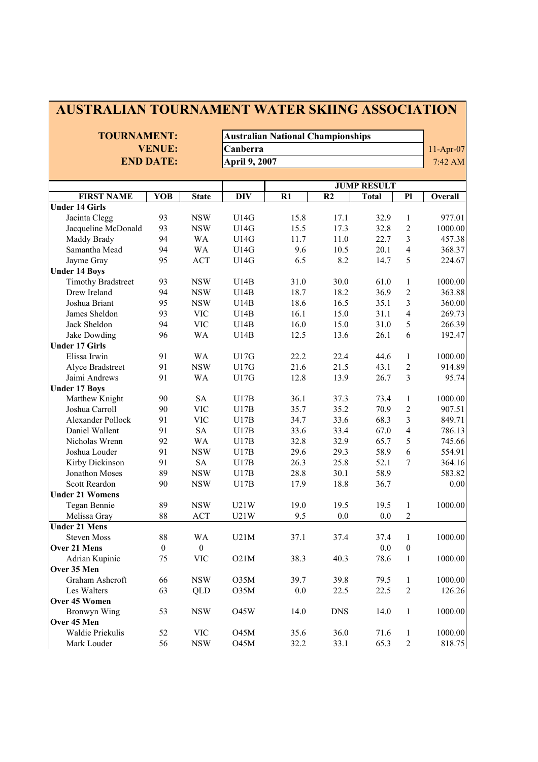| <b>TOURNAMENT:</b>                |                  |                     |                      | <b>Australian National Championships</b> |                |                    |                            |             |  |  |
|-----------------------------------|------------------|---------------------|----------------------|------------------------------------------|----------------|--------------------|----------------------------|-------------|--|--|
|                                   | <b>VENUE:</b>    |                     |                      |                                          |                |                    |                            | $11-Apr-07$ |  |  |
|                                   | <b>END DATE:</b> |                     |                      | Canberra                                 |                |                    |                            |             |  |  |
|                                   |                  |                     | <b>April 9, 2007</b> |                                          |                |                    |                            | 7:42 AM     |  |  |
|                                   |                  |                     |                      |                                          |                | <b>JUMP RESULT</b> |                            |             |  |  |
| <b>FIRST NAME</b>                 |                  | YOB<br><b>State</b> | <b>DIV</b>           | $R1$                                     | R <sub>2</sub> | Overall            |                            |             |  |  |
| <b>Under 14 Girls</b>             |                  |                     |                      |                                          |                | <b>Total</b>       | P1                         |             |  |  |
| Jacinta Clegg                     | 93               | <b>NSW</b>          | U14G                 | 15.8                                     | 17.1           | 32.9               | $\mathbf{1}$               | 977.01      |  |  |
| Jacqueline McDonald               | 93               | <b>NSW</b>          | U14G                 | 15.5                                     | 17.3           | 32.8               | $\boldsymbol{2}$           | 1000.00     |  |  |
| Maddy Brady                       | 94               | WA                  | U14G                 | 11.7                                     | 11.0           | 22.7               | 3                          | 457.38      |  |  |
| Samantha Mead                     | 94               | WA                  | U14G                 | 9.6                                      | 10.5           | 20.1               | $\overline{4}$             | 368.37      |  |  |
| Jayme Gray                        | 95               | <b>ACT</b>          | U14G                 | 6.5                                      | 8.2            | 14.7               | 5                          | 224.67      |  |  |
| <b>Under 14 Boys</b>              |                  |                     |                      |                                          |                |                    |                            |             |  |  |
| <b>Timothy Bradstreet</b>         | 93               | <b>NSW</b>          | U14B                 | 31.0                                     | 30.0           | 61.0               | 1                          | 1000.00     |  |  |
| Drew Ireland                      | 94               | <b>NSW</b>          | U14B                 | 18.7                                     | 18.2           | 36.9               | $\overline{2}$             | 363.88      |  |  |
| Joshua Briant                     | 95               | <b>NSW</b>          | U14B                 | 18.6                                     | 16.5           | 35.1               | 3                          | 360.00      |  |  |
| James Sheldon                     | 93               | <b>VIC</b>          | U14B                 | 16.1                                     | 15.0           | 31.1               | $\overline{4}$             | 269.73      |  |  |
| Jack Sheldon                      | 94               | <b>VIC</b>          | U14B                 | 16.0                                     | 15.0           | 31.0               | 5                          | 266.39      |  |  |
| Jake Dowding                      | 96               | WA                  | U14B                 | 12.5                                     | 13.6           | 26.1               | 6                          | 192.47      |  |  |
| <b>Under 17 Girls</b>             |                  |                     |                      |                                          |                |                    |                            |             |  |  |
| Elissa Irwin                      | 91               | WA                  | U17G                 | 22.2                                     | 22.4           | 44.6               | $\mathbf{1}$               | 1000.00     |  |  |
|                                   | 91               | <b>NSW</b>          | U17G                 | 21.6                                     | 21.5           | 43.1               | $\overline{2}$             | 914.89      |  |  |
| Alyce Bradstreet<br>Jaimi Andrews | 91               | <b>WA</b>           | U17G                 | 12.8                                     | 13.9           | 26.7               | $\overline{3}$             | 95.74       |  |  |
|                                   |                  |                     |                      |                                          |                |                    |                            |             |  |  |
| <b>Under 17 Boys</b>              | 90               | <b>SA</b>           |                      | 36.1                                     | 37.3           |                    |                            | 1000.00     |  |  |
| Matthew Knight<br>Joshua Carroll  | 90               | <b>VIC</b>          | U17B<br>U17B         | 35.7                                     | 35.2           | 73.4<br>70.9       | $\mathbf{1}$<br>$\sqrt{2}$ | 907.51      |  |  |
| Alexander Pollock                 | 91               | <b>VIC</b>          | U17B                 | 34.7                                     | 33.6           | 68.3               | $\mathfrak{Z}$             | 849.71      |  |  |
| Daniel Wallent                    | 91               | <b>SA</b>           | U17B                 | 33.6                                     | 33.4           | 67.0               | $\overline{4}$             | 786.13      |  |  |
|                                   |                  |                     |                      |                                          |                |                    |                            | 745.66      |  |  |
| Nicholas Wrenn                    | 92               | <b>WA</b>           | U17B                 | 32.8                                     | 32.9           | 65.7               | 5                          |             |  |  |
| Joshua Louder                     | 91               | <b>NSW</b>          | U17B                 | 29.6                                     | 29.3           | 58.9               | 6                          | 554.91      |  |  |
| Kirby Dickinson                   | 91               | <b>SA</b>           | U17B                 | 26.3                                     | 25.8           | 52.1               | 7                          | 364.16      |  |  |
| Jonathon Moses                    | 89               | <b>NSW</b>          | U17B                 | 28.8                                     | 30.1           | 58.9               |                            | 583.82      |  |  |
| Scott Reardon                     | 90               | <b>NSW</b>          | U17B                 | 17.9                                     | 18.8           | 36.7               |                            | 0.00        |  |  |
| <b>Under 21 Womens</b>            |                  |                     |                      |                                          |                |                    |                            |             |  |  |
| Tegan Bennie                      | 89               | $_{\rm NSW}$        | U21W                 | 19.0                                     | 19.5           | $19.5 \t1$         |                            | 1000.00     |  |  |
| Melissa Gray                      | 88               | <b>ACT</b>          | U21W                 | 9.5                                      | 0.0            | 0.0                | $\overline{c}$             |             |  |  |
| <b>Under 21 Mens</b>              |                  |                     |                      |                                          |                |                    |                            |             |  |  |
| <b>Steven Moss</b>                | 88               | WA                  | U21M                 | 37.1                                     | 37.4           | 37.4               | 1                          | 1000.00     |  |  |
| Over 21 Mens                      | $\boldsymbol{0}$ | $\boldsymbol{0}$    |                      |                                          |                | 0.0                | $\boldsymbol{0}$           |             |  |  |
| Adrian Kupinic                    | 75               | <b>VIC</b>          | O21M                 | 38.3                                     | 40.3           | 78.6               | $\mathbf{1}$               | 1000.00     |  |  |
| Over 35 Men                       |                  |                     |                      |                                          |                |                    |                            |             |  |  |
| Graham Ashcroft                   | 66               | <b>NSW</b>          | O35M                 | 39.7                                     | 39.8           | 79.5               | $\mathbf{1}$               | 1000.00     |  |  |
| Les Walters                       | 63               | QLD                 | O35M                 | 0.0                                      | 22.5           | 22.5               | $\sqrt{2}$                 | 126.26      |  |  |
| Over 45 Women                     |                  |                     |                      |                                          |                |                    |                            |             |  |  |
| Bronwyn Wing                      | 53               | <b>NSW</b>          | <b>O45W</b>          | 14.0                                     | <b>DNS</b>     | 14.0               | $\mathbf{1}$               | 1000.00     |  |  |
| Over 45 Men                       |                  |                     |                      |                                          |                |                    |                            |             |  |  |
| Waldie Priekulis                  | 52               | <b>VIC</b>          | <b>O45M</b>          | 35.6                                     | 36.0           | 71.6               | $\mathbf{1}$               | 1000.00     |  |  |
| Mark Louder                       | 56               | <b>NSW</b>          | <b>O45M</b>          | 32.2                                     | 33.1           | 65.3               | $\overline{2}$             | 818.75      |  |  |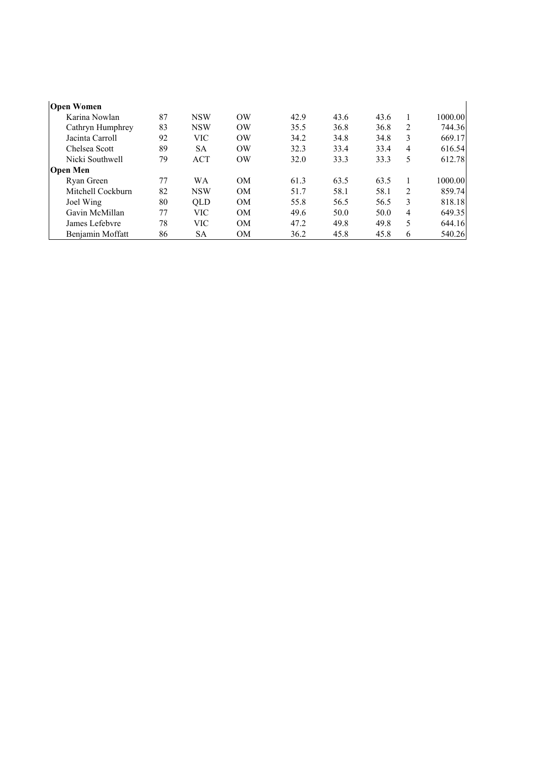| <b>Open Women</b> |    |            |           |      |      |      |   |         |
|-------------------|----|------------|-----------|------|------|------|---|---------|
| Karina Nowlan     | 87 | <b>NSW</b> | OW        | 42.9 | 43.6 | 43.6 |   | 1000.00 |
| Cathryn Humphrey  | 83 | <b>NSW</b> | $\alpha$  | 35.5 | 36.8 | 36.8 | 2 | 744.36  |
| Jacinta Carroll   | 92 | <b>VIC</b> | $\alpha$  | 34.2 | 34.8 | 34.8 | 3 | 669.17  |
| Chelsea Scott     | 89 | <b>SA</b>  | $\alpha$  | 32.3 | 33.4 | 33.4 | 4 | 616.54  |
| Nicki Southwell   | 79 | <b>ACT</b> | OW        | 32.0 | 33.3 | 33.3 | 5 | 612.78  |
| <b>Open Men</b>   |    |            |           |      |      |      |   |         |
| Ryan Green        | 77 | WA         | <b>OM</b> | 61.3 | 63.5 | 63.5 |   | 1000.00 |
| Mitchell Cockburn | 82 | <b>NSW</b> | <b>OM</b> | 51.7 | 58.1 | 58.1 | 2 | 859.74  |
| Joel Wing         | 80 | <b>OLD</b> | <b>OM</b> | 55.8 | 56.5 | 56.5 | 3 | 818.18  |
| Gavin McMillan    | 77 | <b>VIC</b> | <b>OM</b> | 49.6 | 50.0 | 50.0 | 4 | 649.35  |
| James Lefebvre    | 78 | <b>VIC</b> | <b>OM</b> | 47.2 | 49.8 | 49.8 | 5 | 644.16  |
| Benjamin Moffatt  | 86 | <b>SA</b>  | <b>OM</b> | 36.2 | 45.8 | 45.8 | 6 | 540.26  |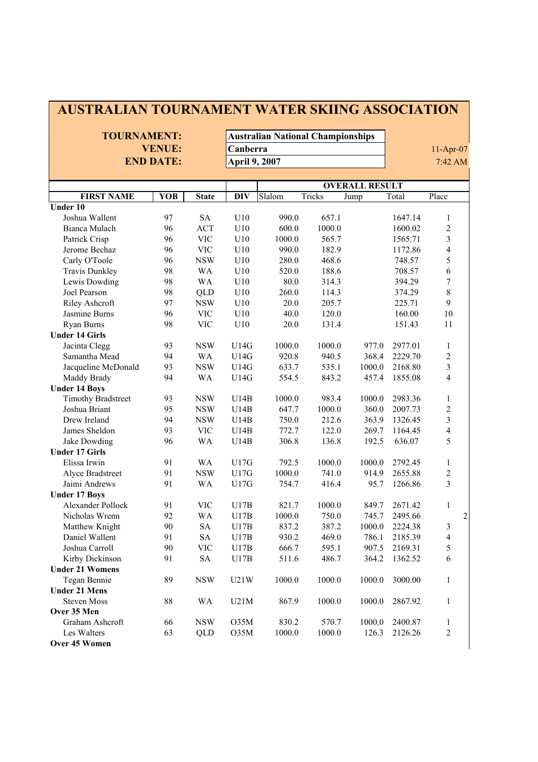| <b>AUSTRALIAN TOURNAMENT WATER SKIING ASSOCIATION</b> |                  |              |                      |                                          |        |                       |         |                          |
|-------------------------------------------------------|------------------|--------------|----------------------|------------------------------------------|--------|-----------------------|---------|--------------------------|
| <b>TOURNAMENT:</b>                                    |                  |              |                      | <b>Australian National Championships</b> |        |                       |         |                          |
|                                                       |                  |              |                      |                                          |        |                       |         |                          |
|                                                       | <b>VENUE:</b>    |              | Canberra             |                                          |        |                       |         | $11-Apr-07$              |
|                                                       | <b>END DATE:</b> |              | <b>April 9, 2007</b> |                                          |        |                       |         | 7:42 AM                  |
|                                                       |                  |              |                      |                                          |        |                       |         |                          |
|                                                       |                  |              |                      |                                          |        | <b>OVERALL RESULT</b> |         |                          |
| <b>FIRST NAME</b>                                     | <b>YOB</b>       | <b>State</b> | <b>DIV</b>           | Slalom                                   | Tricks | Jump                  | Total   | Place                    |
| Under 10                                              |                  |              |                      |                                          |        |                       |         |                          |
| Joshua Wallent                                        | 97               | SA           | U10                  | 990.0                                    | 657.1  |                       | 1647.14 | 1                        |
| Bianca Mulach                                         | 96               | <b>ACT</b>   | U10                  | 600.0                                    | 1000.0 |                       | 1600.02 | $\overline{c}$           |
| Patrick Crisp                                         | 96               | <b>VIC</b>   | U10                  | 1000.0                                   | 565.7  |                       | 1565.71 | $\overline{\mathbf{3}}$  |
| Jerome Bechaz                                         | 96               | <b>VIC</b>   | U10                  | 990.0                                    | 182.9  |                       | 1172.86 | $\overline{4}$           |
| Carly O'Toole                                         | 96               | <b>NSW</b>   | U10                  | 280.0                                    | 468.6  |                       | 748.57  | 5                        |
| <b>Travis Dunkley</b>                                 | 98               | <b>WA</b>    | U10                  | 520.0                                    | 188.6  |                       | 708.57  | 6                        |
| Lewis Dowding                                         | 98               | <b>WA</b>    | U10                  | 80.0                                     | 314.3  |                       | 394.29  | $\overline{7}$           |
| Joel Pearson                                          | 98               | <b>QLD</b>   | U10                  | 260.0                                    | 114.3  |                       | 374.29  | 8                        |
| Riley Ashcroft                                        | 97               | <b>NSW</b>   | U10                  | 20.0                                     | 205.7  |                       | 225.71  | 9                        |
| Jasmine Burns                                         | 96               | <b>VIC</b>   | U10                  | 40.0                                     | 120.0  |                       | 160.00  | 10                       |
| Ryan Burns                                            | 98               | <b>VIC</b>   | U10                  | 20.0                                     | 131.4  |                       | 151.43  | 11                       |
| <b>Under 14 Girls</b>                                 |                  |              |                      |                                          |        |                       |         |                          |
| Jacinta Clegg                                         | 93               | <b>NSW</b>   | U14G                 | 1000.0                                   | 1000.0 | 977.0                 | 2977.01 | 1                        |
| Samantha Mead                                         | 94               | <b>WA</b>    | U14G                 | 920.8                                    | 940.5  | 368.4                 | 2229.70 | $\sqrt{2}$               |
| Jacqueline McDonald                                   | 93               | <b>NSW</b>   | U14G                 | 633.7                                    | 535.1  | 1000.0                | 2168.80 | $\overline{\mathbf{3}}$  |
| Maddy Brady                                           | 94               | <b>WA</b>    | U14G                 | 554.5                                    | 843.2  | 457.4                 | 1855.08 | $\overline{\mathbf{4}}$  |
| <b>Under 14 Boys</b>                                  |                  |              |                      |                                          |        |                       |         |                          |
| <b>Timothy Bradstreet</b>                             | 93               | <b>NSW</b>   | U14B                 | 1000.0                                   | 983.4  | 1000.0                | 2983.36 | 1                        |
| Joshua Briant                                         | 95               | <b>NSW</b>   | U14B                 | 647.7                                    | 1000.0 | 360.0                 | 2007.73 | $\overline{c}$           |
| Drew Ireland                                          | 94               | <b>NSW</b>   | U14B                 | 750.0                                    | 212.6  | 363.9                 | 1326.45 | $\overline{3}$           |
| James Sheldon                                         | 93               | <b>VIC</b>   | U14B                 | 772.7                                    | 122.0  | 269.7                 | 1164.45 | $\overline{4}$           |
| Jake Dowding                                          | 96               | <b>WA</b>    | U14B                 | 306.8                                    | 136.8  | 192.5                 | 636.07  | 5                        |
| <b>Under 17 Girls</b>                                 |                  |              |                      |                                          |        |                       |         |                          |
| Elissa Irwin                                          | 91               | <b>WA</b>    | U17G                 | 792.5                                    | 1000.0 | 1000.0                | 2792.45 | 1                        |
| Alyce Bradstreet                                      | 91               | <b>NSW</b>   | U17G                 | 1000.0                                   | 741.0  | 914.9                 | 2655.88 | $\overline{c}$           |
| Jaimi Andrews                                         | 91               | <b>WA</b>    | U17G                 | 754.7                                    | 416.4  | 95.7                  | 1266.86 | $\overline{3}$           |
| <b>Under 17 Boys</b>                                  |                  |              |                      |                                          |        |                       |         |                          |
| Alexander Pollock                                     | 91               | <b>VIC</b>   | U17B                 | 821.7                                    | 1000.0 | 849.7                 | 2671.42 | 1                        |
| Nicholas Wrenn                                        | 92               | <b>WA</b>    | U17B                 | 1000.0                                   | 750.0  | 745.7                 | 2495.66 | $\overline{c}$           |
| Matthew Knight                                        | 90               | ${\rm SA}$   | U17B                 | 837.2                                    | 387.2  | 1000.0                | 2224.38 | 3                        |
| Daniel Wallent                                        | 91               | SA           | U17B                 | 930.2                                    | 469.0  | 786.1                 | 2185.39 | $\overline{\mathcal{A}}$ |
| Joshua Carroll                                        | 90               | <b>VIC</b>   | U17B                 | 666.7                                    | 595.1  | 907.5                 | 2169.31 | 5                        |
| Kirby Dickinson                                       | 91               | ${\rm SA}$   | U17B                 | 511.6                                    | 486.7  | 364.2                 | 1362.52 | 6                        |
| <b>Under 21 Womens</b>                                |                  |              |                      |                                          |        |                       |         |                          |
| Tegan Bennie                                          | 89               | <b>NSW</b>   | U21W                 | 1000.0                                   | 1000.0 | 1000.0                | 3000.00 | 1                        |
| <b>Under 21 Mens</b>                                  |                  |              |                      |                                          |        |                       |         |                          |
| <b>Steven Moss</b>                                    | 88               | WA           | U21M                 | 867.9                                    | 1000.0 | 1000.0                | 2867.92 | 1                        |
| Over 35 Men                                           |                  |              |                      |                                          |        |                       |         |                          |
| Graham Ashcroft                                       | 66               | <b>NSW</b>   | O35M                 | 830.2                                    | 570.7  | 1000.0                | 2400.87 | 1                        |
| Les Walters                                           | 63               | QLD          | O35M                 | 1000.0                                   | 1000.0 | 126.3                 | 2126.26 | $\boldsymbol{2}$         |
| Over 45 Women                                         |                  |              |                      |                                          |        |                       |         |                          |